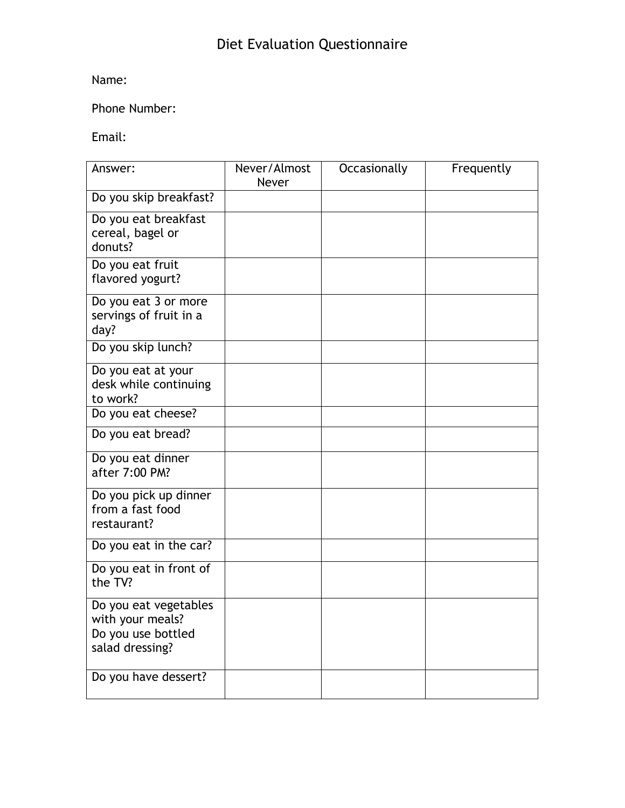## Name:

## Phone Number:

## Email:

| Answer:                                                                            | Never/Almost<br>Never | Occasionally | Frequently |
|------------------------------------------------------------------------------------|-----------------------|--------------|------------|
| Do you skip breakfast?                                                             |                       |              |            |
| Do you eat breakfast<br>cereal, bagel or<br>donuts?                                |                       |              |            |
| Do you eat fruit<br>flavored yogurt?                                               |                       |              |            |
| Do you eat 3 or more<br>servings of fruit in a<br>day?                             |                       |              |            |
| Do you skip lunch?                                                                 |                       |              |            |
| Do you eat at your<br>desk while continuing<br>to work?                            |                       |              |            |
| Do you eat cheese?                                                                 |                       |              |            |
| Do you eat bread?                                                                  |                       |              |            |
| Do you eat dinner<br>after 7:00 PM?                                                |                       |              |            |
| Do you pick up dinner<br>from a fast food<br>restaurant?                           |                       |              |            |
| Do you eat in the car?                                                             |                       |              |            |
| Do you eat in front of<br>the TV?                                                  |                       |              |            |
| Do you eat vegetables<br>with your meals?<br>Do you use bottled<br>salad dressing? |                       |              |            |
| Do you have dessert?                                                               |                       |              |            |